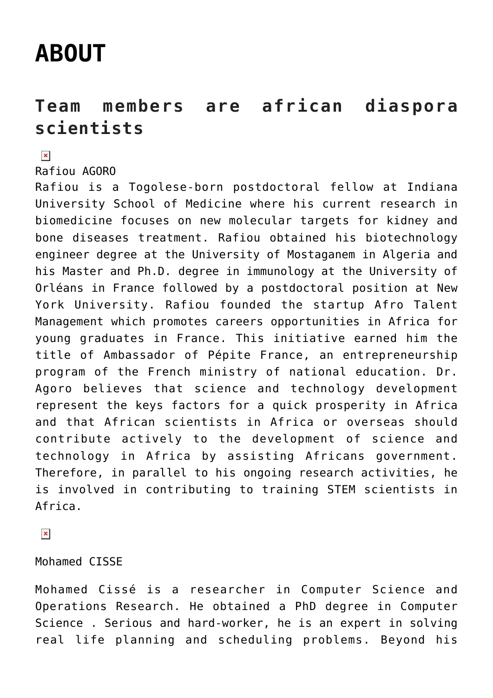## **[ABOUT](https://adsf.club/?page_id=61)**

## **Team members are african diaspora scientists**

 $\pmb{\times}$ 

Rafiou AGORO

Rafiou is a Togolese-born postdoctoral fellow at Indiana University School of Medicine where his current research in biomedicine focuses on new molecular targets for kidney and bone diseases treatment. Rafiou obtained his biotechnology engineer degree at the University of Mostaganem in Algeria and his Master and Ph.D. degree in immunology at the University of Orléans in France followed by a postdoctoral position at New York University. Rafiou founded the startup Afro Talent Management which promotes careers opportunities in Africa for young graduates in France. This initiative earned him the title of Ambassador of Pépite France, an entrepreneurship program of the French ministry of national education. Dr. Agoro believes that science and technology development represent the keys factors for a quick prosperity in Africa and that African scientists in Africa or overseas should contribute actively to the development of science and technology in Africa by assisting Africans government. Therefore, in parallel to his ongoing research activities, he is involved in contributing to training STEM scientists in Africa.

 $\pmb{\times}$ 

## Mohamed CISSE

Mohamed Cissé is a researcher in Computer Science and Operations Research. He obtained a PhD degree in Computer Science . Serious and hard-worker, he is an expert in solving real life planning and scheduling problems. Beyond his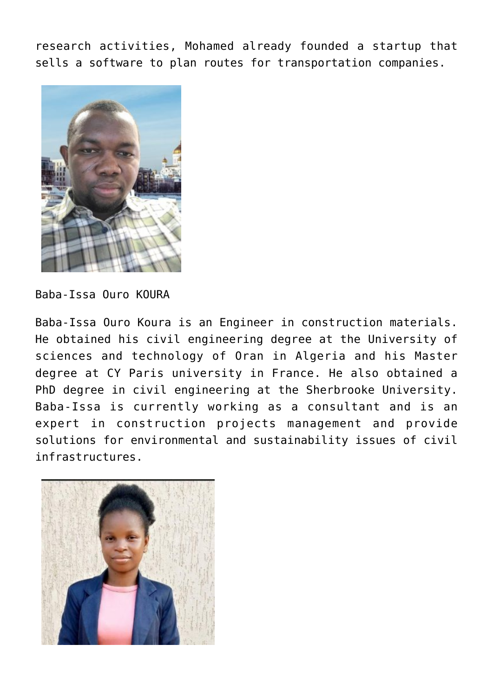research activities, Mohamed already founded a startup that sells a software to plan routes for transportation companies.



Baba-Issa Ouro KOURA

Baba-Issa Ouro Koura is an Engineer in construction materials. He obtained his civil engineering degree at the University of sciences and technology of Oran in Algeria and his Master degree at CY Paris university in France. He also obtained a PhD degree in civil engineering at the Sherbrooke University. Baba-Issa is currently working as a consultant and is an expert in construction projects management and provide solutions for environmental and sustainability issues of civil infrastructures.